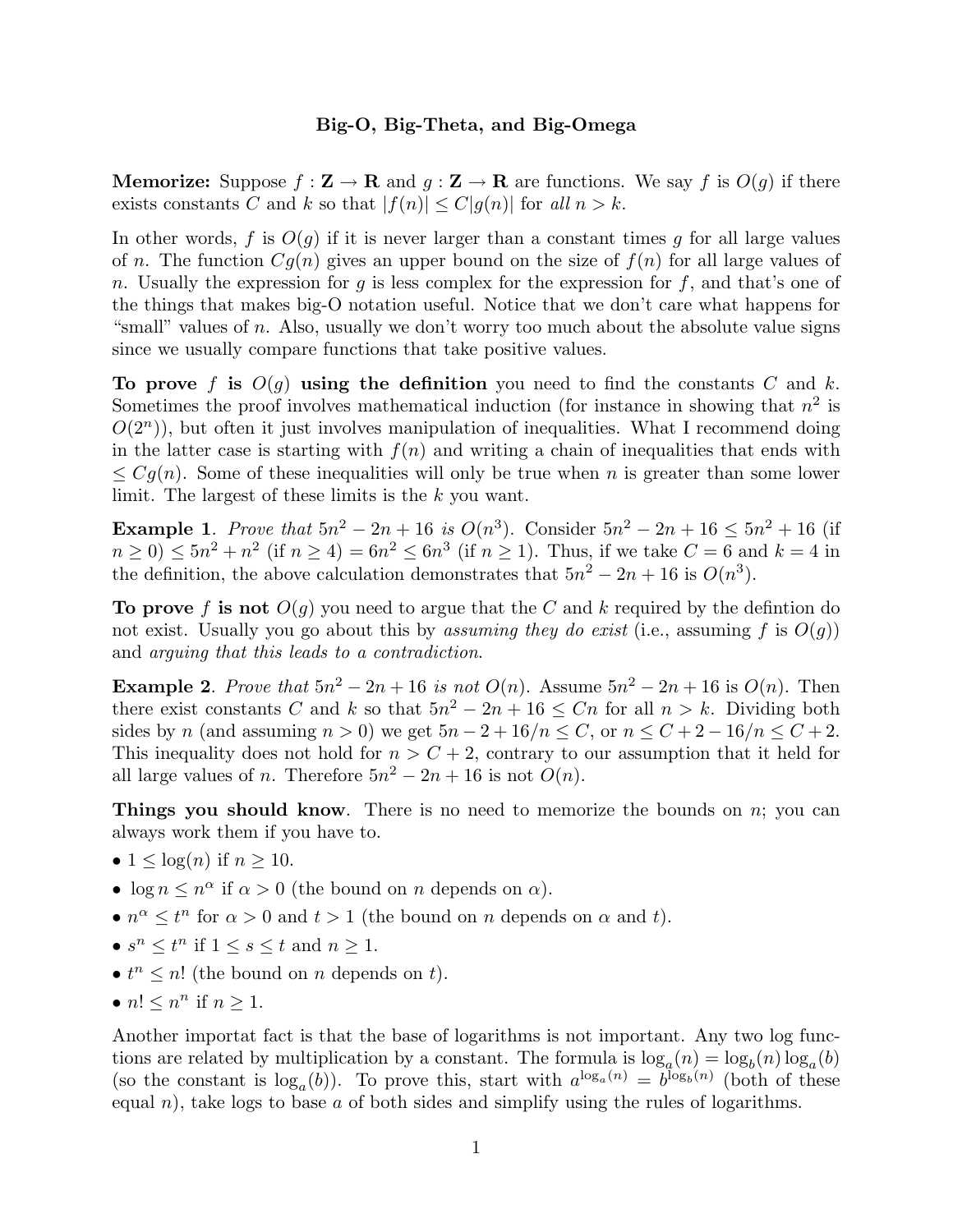## **Big-O, Big-Theta, and Big-Omega**

**Memorize:** Suppose  $f : \mathbf{Z} \to \mathbf{R}$  and  $g : \mathbf{Z} \to \mathbf{R}$  are functions. We say f is  $O(g)$  if there exists constants *C* and *k* so that  $|f(n)| \leq C|g(n)|$  for all  $n > k$ .

In other words,  $f$  is  $O(g)$  if it is never larger than a constant times  $g$  for all large values of *n*. The function  $Cg(n)$  gives an upper bound on the size of  $f(n)$  for all large values of *n*. Usually the expression for *g* is less complex for the expression for *f*, and that's one of the things that makes big-O notation useful. Notice that we don't care what happens for "small" values of *n*. Also, usually we don't worry too much about the absolute value signs since we usually compare functions that take positive values.

To prove f is  $O(q)$  using the definition you need to find the constants C and k. Sometimes the proof involves mathematical induction (for instance in showing that  $n^2$  is  $O(2^n)$ , but often it just involves manipulation of inequalities. What I recommend doing in the latter case is starting with  $f(n)$  and writing a chain of inequalities that ends with  $\leq Cg(n)$ . Some of these inequalities will only be true when *n* is greater than some lower limit. The largest of these limits is the *k* you want.

**Example 1**. Prove that  $5n^2 - 2n + 16$  is  $O(n^3)$ . Consider  $5n^2 - 2n + 16 \le 5n^2 + 16$  (if  $n \ge 0$   $\le 5n^2 + n^2$  (if  $n \ge 4$ ) =  $6n^2 \le 6n^3$  (if  $n \ge 1$ ). Thus, if we take  $C = 6$  and  $k = 4$  in the definition, the above calculation demonstrates that  $5n^2 - 2n + 16$  is  $O(n^3)$ .

**To prove** f is not  $O(g)$  you need to argue that the C and k required by the defintion do not exist. Usually you go about this by *assuming they do exist* (i.e., assuming f is  $O(q)$ ) and arguing that this leads to a contradiction.

**Example 2**. Prove that  $5n^2 - 2n + 16$  is not  $O(n)$ . Assume  $5n^2 - 2n + 16$  is  $O(n)$ . Then there exist constants *C* and *k* so that  $5n^2 - 2n + 16 \leq Cn$  for all  $n > k$ . Dividing both sides by *n* (and assuming  $n > 0$ ) we get  $5n - 2 + 16/n \le C$ , or  $n \le C + 2 - 16/n \le C + 2$ . This inequality does not hold for  $n > C + 2$ , contrary to our assumption that it held for all large values of *n*. Therefore  $5n^2 - 2n + 16$  is not  $O(n)$ .

**Things you should know**. There is no need to memorize the bounds on *n*; you can always work them if you have to.

- $1 \leq \log(n)$  if  $n \geq 10$ .
- $\log n \leq n^{\alpha}$  if  $\alpha > 0$  (the bound on *n* depends on  $\alpha$ ).
- $n^{\alpha} \leq t^n$  for  $\alpha > 0$  and  $t > 1$  (the bound on *n* depends on  $\alpha$  and *t*).
- $s^n \leq t^n$  if  $1 \leq s \leq t$  and  $n \geq 1$ .
- $t^n \leq n!$  (the bound on *n* depends on *t*).
- $n! \leq n^n$  if  $n \geq 1$ .

Another importat fact is that the base of logarithms is not important. Any two log functions are related by multiplication by a constant. The formula is  $\log_a(n) = \log_b(n) \log_a(b)$ (so the constant is  $\log_a(b)$ ). To prove this, start with  $a^{\log_a(n)} = b^{\log_b(n)}$  (both of these equal *n*), take logs to base *a* of both sides and simplify using the rules of logarithms.